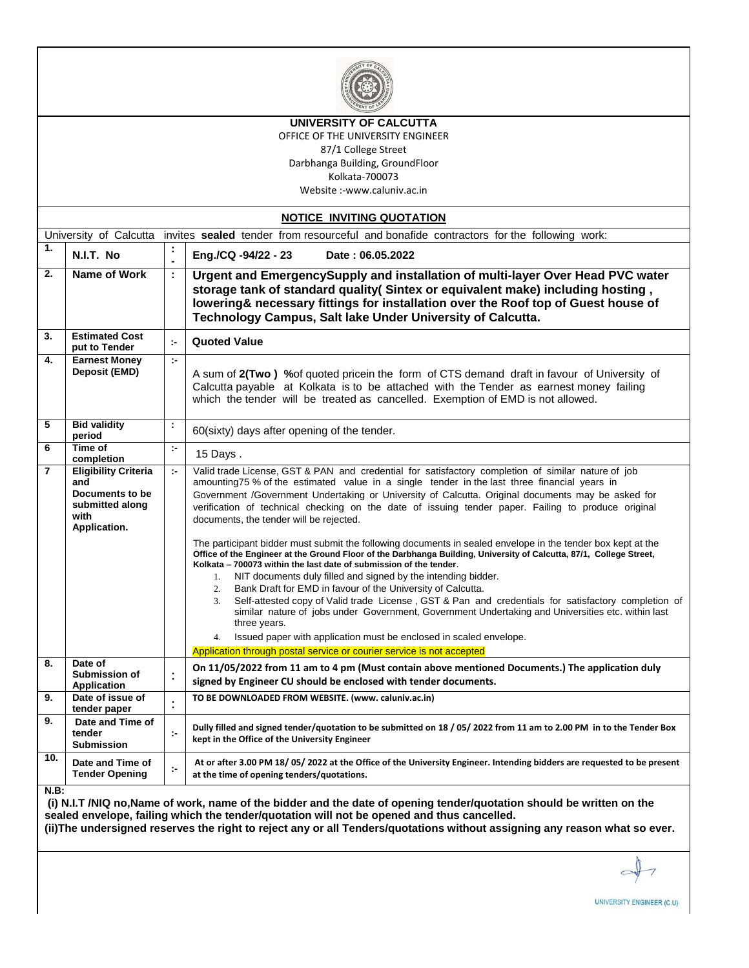

#### **UNIVERSITY OF CALCUTTA**

OFFICE OF THE UNIVERSITY ENGINEER 87/1 College Street

Darbhanga Building, GroundFloor

Kolkata-700073

Website :-www.caluniv.ac.in

| <b>NOTICE INVITING QUOTATION</b>                                                                                  |                                                                                                  |              |                                                                                                                                                                                                                                                                                                                                                                                                                                                                                                                                                                                                                                                                                                                                                                                                                                                                                                                                                                                                                                                                                                                                                                                                                                                                                                       |  |  |  |  |
|-------------------------------------------------------------------------------------------------------------------|--------------------------------------------------------------------------------------------------|--------------|-------------------------------------------------------------------------------------------------------------------------------------------------------------------------------------------------------------------------------------------------------------------------------------------------------------------------------------------------------------------------------------------------------------------------------------------------------------------------------------------------------------------------------------------------------------------------------------------------------------------------------------------------------------------------------------------------------------------------------------------------------------------------------------------------------------------------------------------------------------------------------------------------------------------------------------------------------------------------------------------------------------------------------------------------------------------------------------------------------------------------------------------------------------------------------------------------------------------------------------------------------------------------------------------------------|--|--|--|--|
| invites sealed tender from resourceful and bonafide contractors for the following work:<br>University of Calcutta |                                                                                                  |              |                                                                                                                                                                                                                                                                                                                                                                                                                                                                                                                                                                                                                                                                                                                                                                                                                                                                                                                                                                                                                                                                                                                                                                                                                                                                                                       |  |  |  |  |
| 1.                                                                                                                | N.I.T. No                                                                                        |              | Date: 06.05.2022<br>Eng./CQ -94/22 - 23                                                                                                                                                                                                                                                                                                                                                                                                                                                                                                                                                                                                                                                                                                                                                                                                                                                                                                                                                                                                                                                                                                                                                                                                                                                               |  |  |  |  |
| 2.                                                                                                                | Name of Work                                                                                     | ÷            | Urgent and EmergencySupply and installation of multi-layer Over Head PVC water<br>storage tank of standard quality(Sintex or equivalent make) including hosting,<br>lowering& necessary fittings for installation over the Roof top of Guest house of<br>Technology Campus, Salt lake Under University of Calcutta.                                                                                                                                                                                                                                                                                                                                                                                                                                                                                                                                                                                                                                                                                                                                                                                                                                                                                                                                                                                   |  |  |  |  |
| 3.                                                                                                                | <b>Estimated Cost</b><br>put to Tender                                                           | $\mathbf{r}$ | <b>Quoted Value</b>                                                                                                                                                                                                                                                                                                                                                                                                                                                                                                                                                                                                                                                                                                                                                                                                                                                                                                                                                                                                                                                                                                                                                                                                                                                                                   |  |  |  |  |
| 4.                                                                                                                | <b>Earnest Money</b><br>Deposit (EMD)                                                            | ÷.           | A sum of 2(Two) % of quoted pricein the form of CTS demand draft in favour of University of<br>Calcutta payable at Kolkata is to be attached with the Tender as earnest money failing<br>which the tender will be treated as cancelled. Exemption of EMD is not allowed.                                                                                                                                                                                                                                                                                                                                                                                                                                                                                                                                                                                                                                                                                                                                                                                                                                                                                                                                                                                                                              |  |  |  |  |
| 5                                                                                                                 | <b>Bid validity</b><br>period                                                                    | ÷            | 60(sixty) days after opening of the tender.                                                                                                                                                                                                                                                                                                                                                                                                                                                                                                                                                                                                                                                                                                                                                                                                                                                                                                                                                                                                                                                                                                                                                                                                                                                           |  |  |  |  |
| 6                                                                                                                 | Time of<br>completion                                                                            | $\sim$       | 15 Days.                                                                                                                                                                                                                                                                                                                                                                                                                                                                                                                                                                                                                                                                                                                                                                                                                                                                                                                                                                                                                                                                                                                                                                                                                                                                                              |  |  |  |  |
| 7                                                                                                                 | <b>Eligibility Criteria</b><br>and<br>Documents to be<br>submitted along<br>with<br>Application. | te.          | Valid trade License, GST & PAN and credential for satisfactory completion of similar nature of job<br>amounting75 % of the estimated value in a single tender in the last three financial years in<br>Government /Government Undertaking or University of Calcutta. Original documents may be asked for<br>verification of technical checking on the date of issuing tender paper. Failing to produce original<br>documents, the tender will be rejected.<br>The participant bidder must submit the following documents in sealed envelope in the tender box kept at the<br>Office of the Engineer at the Ground Floor of the Darbhanga Building, University of Calcutta, 87/1, College Street,<br>Kolkata - 700073 within the last date of submission of the tender.<br>1. NIT documents duly filled and signed by the intending bidder.<br>Bank Draft for EMD in favour of the University of Calcutta.<br>2.<br>Self-attested copy of Valid trade License, GST & Pan and credentials for satisfactory completion of<br>3.<br>similar nature of jobs under Government, Government Undertaking and Universities etc. within last<br>three years.<br>Issued paper with application must be enclosed in scaled envelope.<br>4.<br>Application through postal service or courier service is not accepted |  |  |  |  |
| 8.                                                                                                                | Date of<br>Submission of<br><b>Application</b>                                                   |              | On 11/05/2022 from 11 am to 4 pm (Must contain above mentioned Documents.) The application duly<br>signed by Engineer CU should be enclosed with tender documents.                                                                                                                                                                                                                                                                                                                                                                                                                                                                                                                                                                                                                                                                                                                                                                                                                                                                                                                                                                                                                                                                                                                                    |  |  |  |  |
| 9.                                                                                                                | Date of issue of<br>tender paper                                                                 |              | TO BE DOWNLOADED FROM WEBSITE. (www. caluniv.ac.in)                                                                                                                                                                                                                                                                                                                                                                                                                                                                                                                                                                                                                                                                                                                                                                                                                                                                                                                                                                                                                                                                                                                                                                                                                                                   |  |  |  |  |
| 9.                                                                                                                | Date and Time of<br>tender<br><b>Submission</b>                                                  | ÷.           | Dully filled and signed tender/quotation to be submitted on 18 / 05/ 2022 from 11 am to 2.00 PM in to the Tender Box<br>kept in the Office of the University Engineer                                                                                                                                                                                                                                                                                                                                                                                                                                                                                                                                                                                                                                                                                                                                                                                                                                                                                                                                                                                                                                                                                                                                 |  |  |  |  |
| 10.<br>ND.                                                                                                        | Date and Time of<br><b>Tender Opening</b>                                                        | $\mathbf{r}$ | At or after 3.00 PM 18/05/2022 at the Office of the University Engineer. Intending bidders are requested to be present<br>at the time of opening tenders/quotations.                                                                                                                                                                                                                                                                                                                                                                                                                                                                                                                                                                                                                                                                                                                                                                                                                                                                                                                                                                                                                                                                                                                                  |  |  |  |  |

**N.B:**

**(i) N.I.T /NIQ no,Name of work, name of the bidder and the date of opening tender/quotation should be written on the sealed envelope, failing which the tender/quotation will not be opened and thus cancelled. (ii)The undersigned reserves the right to reject any or all Tenders/quotations without assigning any reason what so ever.**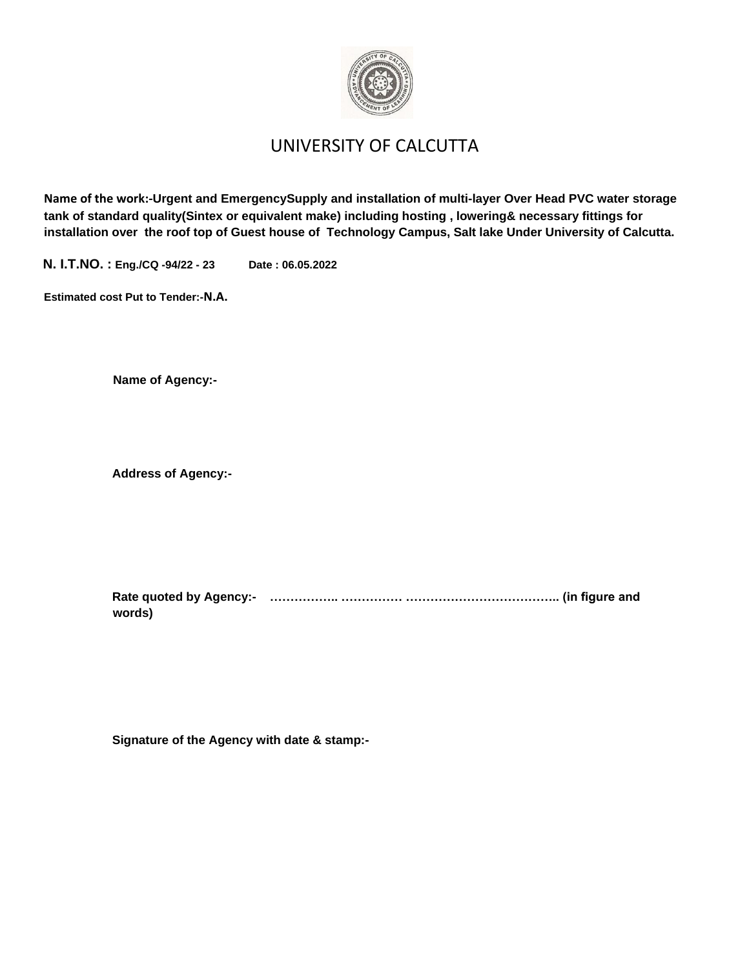

## UNIVERSITY OF CALCUTTA

**Name of the work:-Urgent and EmergencySupply and installation of multi-layer Over Head PVC water storage tank of standard quality(Sintex or equivalent make) including hosting , lowering& necessary fittings for installation over the roof top of Guest house of Technology Campus, Salt lake Under University of Calcutta.**

**N. I.T.NO. : Eng./CQ -94/22 - 23 Date : 06.05.2022**

**Estimated cost Put to Tender:-N.A.**

**Name of Agency:-**

**Address of Agency:-**

**Rate quoted by Agency:- …………….. …………… ……………………………….. (in figure and words)** 

**Signature of the Agency with date & stamp:-**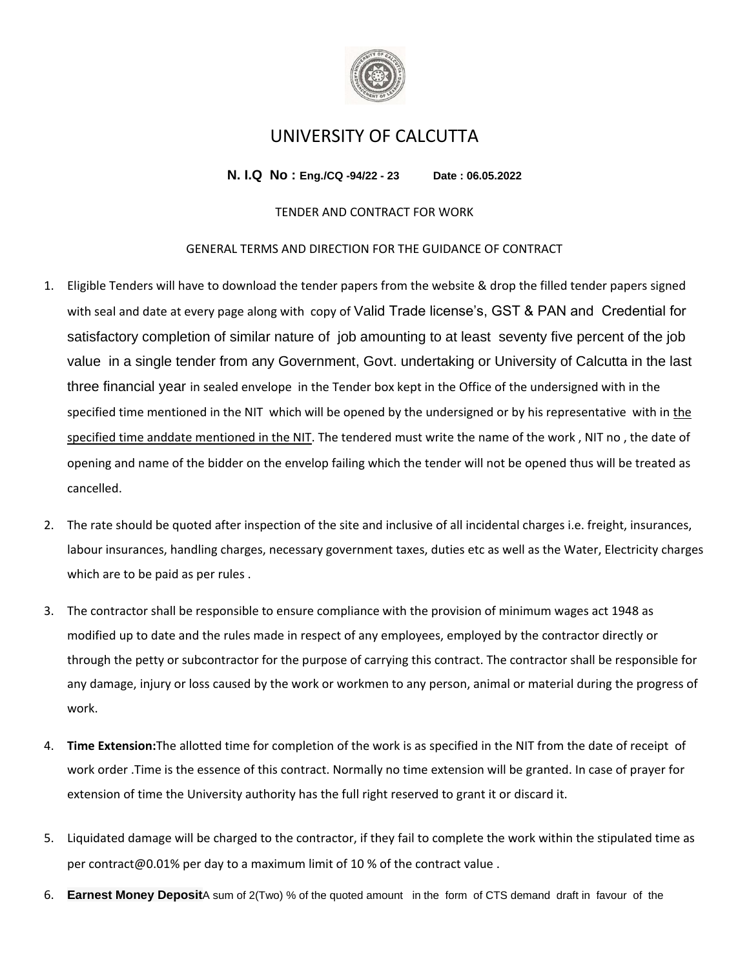

### UNIVERSITY OF CALCUTTA

**N. I.Q No : Eng./CQ -94/22 - 23 Date : 06.05.2022**

#### TENDER AND CONTRACT FOR WORK

#### GENERAL TERMS AND DIRECTION FOR THE GUIDANCE OF CONTRACT

- 1. Eligible Tenders will have to download the tender papers from the website & drop the filled tender papers signed with seal and date at every page along with copy of Valid Trade license's, GST & PAN and Credential for satisfactory completion of similar nature of job amounting to at least seventy five percent of the job value in a single tender from any Government, Govt. undertaking or University of Calcutta in the last three financial year in sealed envelope in the Tender box kept in the Office of the undersigned with in the specified time mentioned in the NIT which will be opened by the undersigned or by his representative with in the specified time anddate mentioned in the NIT. The tendered must write the name of the work , NIT no , the date of opening and name of the bidder on the envelop failing which the tender will not be opened thus will be treated as cancelled.
- 2. The rate should be quoted after inspection of the site and inclusive of all incidental charges i.e. freight, insurances, labour insurances, handling charges, necessary government taxes, duties etc as well as the Water, Electricity charges which are to be paid as per rules .
- 3. The contractor shall be responsible to ensure compliance with the provision of minimum wages act 1948 as modified up to date and the rules made in respect of any employees, employed by the contractor directly or through the petty or subcontractor for the purpose of carrying this contract. The contractor shall be responsible for any damage, injury or loss caused by the work or workmen to any person, animal or material during the progress of work.
- 4. **Time Extension:**The allotted time for completion of the work is as specified in the NIT from the date of receipt of work order .Time is the essence of this contract. Normally no time extension will be granted. In case of prayer for extension of time the University authority has the full right reserved to grant it or discard it.
- 5. Liquidated damage will be charged to the contractor, if they fail to complete the work within the stipulated time as per contract@0.01% per day to a maximum limit of 10 % of the contract value .
- 6. **Earnest Money Deposit**A sum of 2(Two) % of the quoted amount in the form of CTS demand draft in favour of the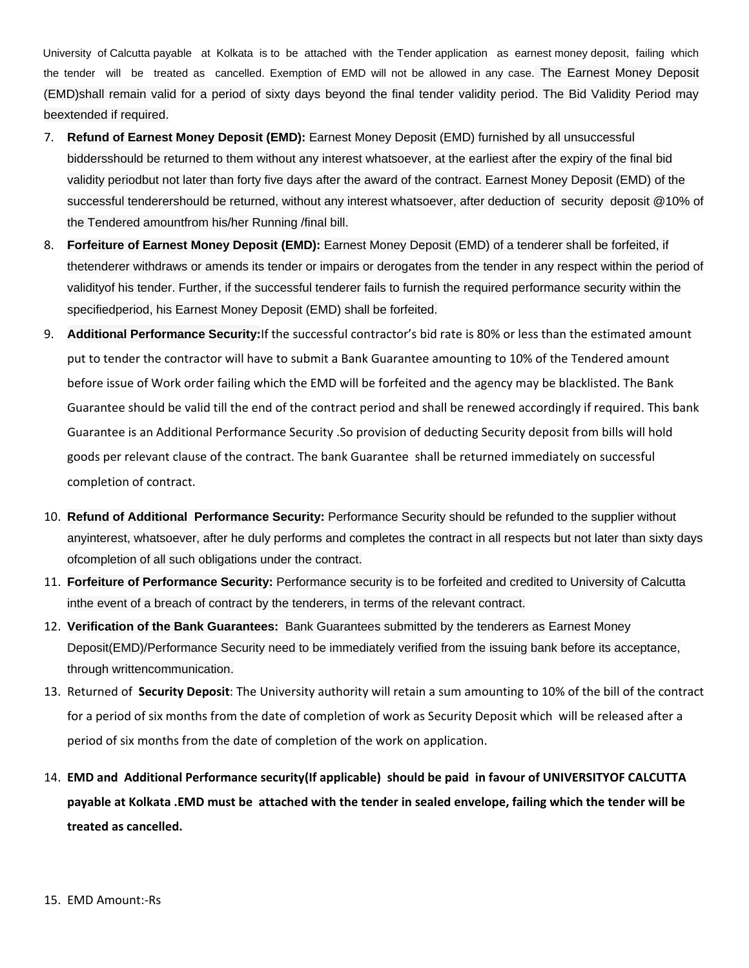University of Calcutta payable at Kolkata is to be attached with the Tender application as earnest money deposit, failing which the tender will be treated as cancelled. Exemption of EMD will not be allowed in any case. The Earnest Money Deposit (EMD)shall remain valid for a period of sixty days beyond the final tender validity period. The Bid Validity Period may beextended if required.

- 7. **Refund of Earnest Money Deposit (EMD):** Earnest Money Deposit (EMD) furnished by all unsuccessful biddersshould be returned to them without any interest whatsoever, at the earliest after the expiry of the final bid validity periodbut not later than forty five days after the award of the contract. Earnest Money Deposit (EMD) of the successful tenderershould be returned, without any interest whatsoever, after deduction of security deposit @10% of the Tendered amountfrom his/her Running /final bill.
- 8. **Forfeiture of Earnest Money Deposit (EMD):** Earnest Money Deposit (EMD) of a tenderer shall be forfeited, if thetenderer withdraws or amends its tender or impairs or derogates from the tender in any respect within the period of validityof his tender. Further, if the successful tenderer fails to furnish the required performance security within the specifiedperiod, his Earnest Money Deposit (EMD) shall be forfeited.
- 9. **Additional Performance Security:**If the successful contractor's bid rate is 80% or less than the estimated amount put to tender the contractor will have to submit a Bank Guarantee amounting to 10% of the Tendered amount before issue of Work order failing which the EMD will be forfeited and the agency may be blacklisted. The Bank Guarantee should be valid till the end of the contract period and shall be renewed accordingly if required. This bank Guarantee is an Additional Performance Security .So provision of deducting Security deposit from bills will hold goods per relevant clause of the contract. The bank Guarantee shall be returned immediately on successful completion of contract.
- 10. **Refund of Additional Performance Security:** Performance Security should be refunded to the supplier without anyinterest, whatsoever, after he duly performs and completes the contract in all respects but not later than sixty days ofcompletion of all such obligations under the contract.
- 11. **Forfeiture of Performance Security:** Performance security is to be forfeited and credited to University of Calcutta inthe event of a breach of contract by the tenderers, in terms of the relevant contract.
- 12. **Verification of the Bank Guarantees:** Bank Guarantees submitted by the tenderers as Earnest Money Deposit(EMD)/Performance Security need to be immediately verified from the issuing bank before its acceptance, through writtencommunication.
- 13. Returned of **Security Deposit**: The University authority will retain a sum amounting to 10% of the bill of the contract for a period of six months from the date of completion of work as Security Deposit which will be released after a period of six months from the date of completion of the work on application.
- 14. **EMD and Additional Performance security(If applicable) should be paid in favour of UNIVERSITYOF CALCUTTA payable at Kolkata .EMD must be attached with the tender in sealed envelope, failing which the tender will be treated as cancelled.**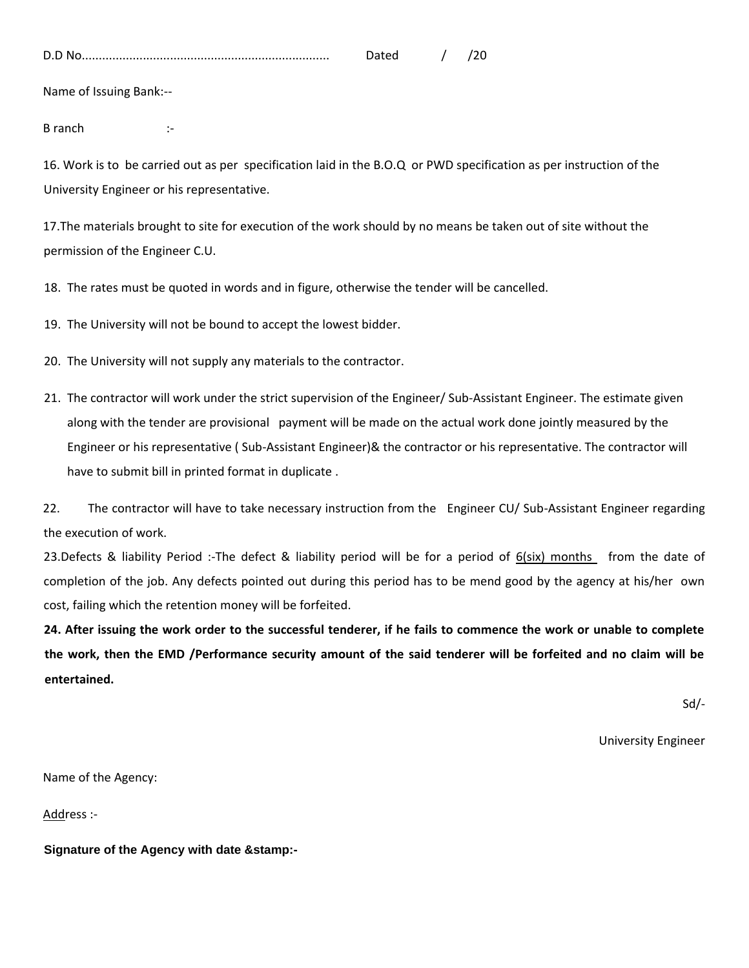| D.<br>υ.ι |  |  |
|-----------|--|--|
|           |  |  |

Name of Issuing Bank:--

B ranch :-

16. Work is to be carried out as per specification laid in the B.O.Q or PWD specification as per instruction of the University Engineer or his representative.

17.The materials brought to site for execution of the work should by no means be taken out of site without the permission of the Engineer C.U.

18. The rates must be quoted in words and in figure, otherwise the tender will be cancelled.

19. The University will not be bound to accept the lowest bidder.

- 20. The University will not supply any materials to the contractor.
- 21. The contractor will work under the strict supervision of the Engineer/ Sub-Assistant Engineer. The estimate given along with the tender are provisional payment will be made on the actual work done jointly measured by the Engineer or his representative ( Sub-Assistant Engineer)& the contractor or his representative. The contractor will have to submit bill in printed format in duplicate .

22. The contractor will have to take necessary instruction from the Engineer CU/ Sub-Assistant Engineer regarding the execution of work.

23.Defects & liability Period :-The defect & liability period will be for a period of 6(six) months from the date of completion of the job. Any defects pointed out during this period has to be mend good by the agency at his/her own cost, failing which the retention money will be forfeited.

**24. After issuing the work order to the successful tenderer, if he fails to commence the work or unable to complete the work, then the EMD /Performance security amount of the said tenderer will be forfeited and no claim will be entertained.** 

Sd/-

University Engineer

Name of the Agency:

Address :-

**Signature of the Agency with date &stamp:-**